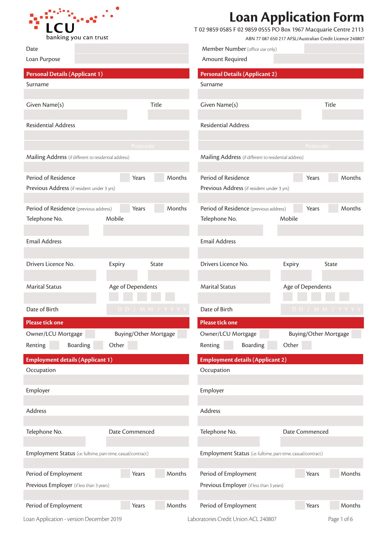

## **Loan Application Form**

T 02 9859 0585 F 02 9859 0555 PO Box 1967 Macquarie Centre 2113

Member Number (office use only)

| ABN 77 087 650 217 AFSL/Australian Credit Licence 240807 |  |  |  |
|----------------------------------------------------------|--|--|--|
|                                                          |  |  |  |

| Loan Purpose                                                  |                              |                | Amount Required                                               |                   |                       |
|---------------------------------------------------------------|------------------------------|----------------|---------------------------------------------------------------|-------------------|-----------------------|
| <b>Personal Details (Applicant 1)</b>                         |                              |                | <b>Personal Details (Applicant 2)</b>                         |                   |                       |
| Surname                                                       |                              |                | Surname                                                       |                   |                       |
|                                                               |                              |                |                                                               |                   |                       |
| Given Name(s)                                                 |                              | Title          | Given Name(s)                                                 |                   | Title                 |
|                                                               |                              |                |                                                               |                   |                       |
| <b>Residential Address</b>                                    |                              |                | <b>Residential Address</b>                                    |                   |                       |
|                                                               |                              |                |                                                               |                   |                       |
|                                                               | Postcode:                    |                |                                                               |                   | Postcode:             |
| Mailing Address (if different to residential address)         |                              |                | Mailing Address (if different to residential address)         |                   |                       |
| Period of Residence                                           | Years                        | Months         | Period of Residence                                           |                   | Months                |
| Previous Address (if resident under 3 yrs)                    |                              |                | Previous Address (if resident under 3 yrs)                    | Years             |                       |
|                                                               |                              |                |                                                               |                   |                       |
| Period of Residence (previous address)                        | Years                        | Months         | Period of Residence (previous address)                        | Years             | Months                |
| Telephone No.                                                 | Mobile                       |                | Telephone No.                                                 | Mobile            |                       |
|                                                               |                              |                |                                                               |                   |                       |
| <b>Email Address</b>                                          |                              |                | <b>Email Address</b>                                          |                   |                       |
|                                                               |                              |                |                                                               |                   |                       |
| Drivers Licence No.                                           | Expiry                       | State          | Drivers Licence No.                                           | Expiry            | State                 |
|                                                               |                              |                |                                                               |                   |                       |
| <b>Marital Status</b>                                         | Age of Dependents            |                | <b>Marital Status</b>                                         | Age of Dependents |                       |
|                                                               |                              |                |                                                               |                   |                       |
| Date of Birth                                                 |                              | DD / MM / YYYY | Date of Birth                                                 |                   | DD / MM / YYYY        |
| <b>Please tick one</b>                                        |                              |                | Please tick one                                               |                   |                       |
| Owner/LCU Mortgage                                            | <b>Buying/Other Mortgage</b> |                | Owner/LCU Mortgage                                            |                   | Buying/Other Mortgage |
| Renting<br>Boarding                                           | Other                        |                | Renting<br><b>Boarding</b>                                    | Other             |                       |
|                                                               |                              |                |                                                               |                   |                       |
| <b>Employment details (Applicant 1)</b><br>Occupation         |                              |                | <b>Employment details (Applicant 2)</b><br>Occupation         |                   |                       |
|                                                               |                              |                |                                                               |                   |                       |
| Employer                                                      |                              |                | Employer                                                      |                   |                       |
|                                                               |                              |                |                                                               |                   |                       |
| Address                                                       |                              |                | Address                                                       |                   |                       |
|                                                               |                              |                |                                                               |                   |                       |
| Telephone No.                                                 | Date Commenced               |                | Telephone No.                                                 | Date Commenced    |                       |
|                                                               |                              |                |                                                               |                   |                       |
| Employment Status (i.e. fulltime, part-time, casual/contract) |                              |                | Employment Status (i.e. fulltime, part-time, casual/contract) |                   |                       |
|                                                               |                              |                |                                                               |                   |                       |
| Period of Employment                                          | Years                        | Months         | Period of Employment                                          | Years             | Months                |
| Previous Employer (if less than 3 years)                      |                              |                | Previous Employer (if less than 3 years)                      |                   |                       |
|                                                               |                              |                |                                                               |                   |                       |
| Period of Employment                                          | Years                        | Months         | Period of Employment                                          | Years             | Months                |
| Loan Application - version December 2019                      |                              |                | Laboratories Credit Union ACL 240807                          |                   | Page 1 of 6           |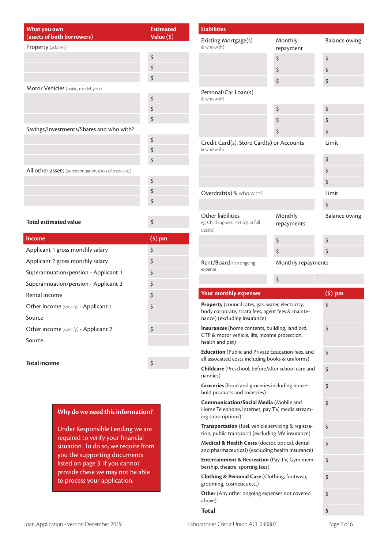| What you own<br>(assets of both borrowers)             | <b>Estimated</b><br>Value (\$) |  |  |  |  |
|--------------------------------------------------------|--------------------------------|--|--|--|--|
| Property (address)                                     |                                |  |  |  |  |
|                                                        | \$                             |  |  |  |  |
|                                                        | \$                             |  |  |  |  |
|                                                        | \$                             |  |  |  |  |
| Motor Vehicles (make, model, year)                     |                                |  |  |  |  |
|                                                        | \$                             |  |  |  |  |
|                                                        | \$                             |  |  |  |  |
|                                                        | \$                             |  |  |  |  |
| Savings/Investments/Shares and who with?               |                                |  |  |  |  |
|                                                        | \$                             |  |  |  |  |
|                                                        | \$                             |  |  |  |  |
|                                                        | \$                             |  |  |  |  |
| All other assets (superannuation, tools of trade etc.) |                                |  |  |  |  |
|                                                        | \$                             |  |  |  |  |
|                                                        | \$                             |  |  |  |  |
|                                                        | \$                             |  |  |  |  |
|                                                        |                                |  |  |  |  |
| <b>Total estimated value</b>                           | \$                             |  |  |  |  |
|                                                        |                                |  |  |  |  |
| <b>Income</b>                                          | $($ \$ $)$ pm                  |  |  |  |  |
| Applicant 1 gross monthly salary                       | \$                             |  |  |  |  |
| Applicant 2 gross monthly salary                       | \$                             |  |  |  |  |
| Superannuation/pension - Applicant 1                   | \$                             |  |  |  |  |

Superannuation/pension - Applicant 2 \$  $\begin{array}{c|c}\n\textbf{Rental income} & \textbf{S}\n\end{array}$ Other income (specify) - Applicant 1  $\sim$ 

Other income (specify) - Applicant 2 \$

**Total income** \$

**Why do we need this information?**

Under Responsible Lending we are required to verify your financial situation. To do so, we require from you the supporting documents listed on page 3. If you cannot provide these we may not be able to process your application.

Source

Source

| Existing Mortgage(s)<br>& who with?                                                                                                                                                                                                                          | Monthly<br>repayment  | <b>Balance owing</b> |
|--------------------------------------------------------------------------------------------------------------------------------------------------------------------------------------------------------------------------------------------------------------|-----------------------|----------------------|
|                                                                                                                                                                                                                                                              | \$                    | \$                   |
|                                                                                                                                                                                                                                                              | \$                    | \$                   |
|                                                                                                                                                                                                                                                              | \$                    | \$                   |
| Personal/Car Loan(s)<br>& who with?                                                                                                                                                                                                                          |                       |                      |
|                                                                                                                                                                                                                                                              | \$                    | \$                   |
|                                                                                                                                                                                                                                                              | \$                    | \$                   |
|                                                                                                                                                                                                                                                              | \$                    | \$                   |
| Credit Card(s), Store Card(s) or Accounts<br>& who with?                                                                                                                                                                                                     | Limit                 |                      |
|                                                                                                                                                                                                                                                              |                       | \$                   |
|                                                                                                                                                                                                                                                              |                       | \$                   |
|                                                                                                                                                                                                                                                              |                       | \$                   |
| Overdraft(s) & who with?                                                                                                                                                                                                                                     |                       | Limit                |
|                                                                                                                                                                                                                                                              |                       | \$                   |
| Other liabilities<br>eg. Child support, HECS (List full<br>details)                                                                                                                                                                                          | Monthly<br>repayments | Balance owing        |
|                                                                                                                                                                                                                                                              | \$                    | \$                   |
|                                                                                                                                                                                                                                                              | \$                    | \$                   |
| <b>Rent/Board</b> if an ongoing<br>expense                                                                                                                                                                                                                   | Monthly repayments    |                      |
|                                                                                                                                                                                                                                                              |                       |                      |
|                                                                                                                                                                                                                                                              | \$                    |                      |
| <b>Your monthly expenses</b>                                                                                                                                                                                                                                 |                       | $(5)$ pm             |
|                                                                                                                                                                                                                                                              |                       | \$                   |
| Property (council rates, gas, water, electricity,<br>body corporate, strata fees, agent fees & mainte-<br>nance) (excluding insurance)<br>Insurances (home contents, building, landlord,<br>CTP & motor vehicle, life, income protection,<br>health and pet) |                       | \$                   |
| <b>Education</b> (Public and Private Education fees, and<br>all associated costs including books & uniforms)                                                                                                                                                 |                       | \$                   |
| Childcare (Preschool, before/after school care and<br>nannies)                                                                                                                                                                                               |                       | \$                   |
| Groceries (Food and groceries including house-<br>hold products and toiletries)                                                                                                                                                                              |                       | \$                   |
| Communication/Social Media (Mobile and<br>Home Telephone, Internet, pay TV, media stream-<br>ing subscriptions)                                                                                                                                              |                       | \$                   |
| Transportation (fuel, vehicle servicing & registra-<br>tion, public transport) (excluding MV insurance)                                                                                                                                                      |                       | \$                   |
| Medical & Health Costs (doctor, optical, dental<br>and pharmaceutical) (excluding health insurance)                                                                                                                                                          |                       | \$                   |
| <b>Entertainment &amp; Recreation</b> (Pay TV, Gym mem-<br>bership, theatre, sporting fees)                                                                                                                                                                  |                       | \$                   |
| Clothing & Personal Care (Clothing, footwear,<br>grooming, cosmetics etc.)                                                                                                                                                                                   |                       | \$                   |

**Liabilities**

Loan Application - version December 2019 Laboratories Credit Union ACL 240807 Page 2 of 6

**Total \$**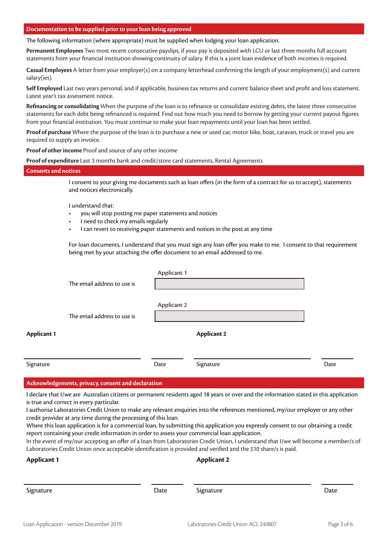#### **Documentation to be supplied prior to your loan being approved**

The following information (where appropriate) must be supplied when lodging your loan application.

**Permanent Employees** Two most recent consecutive payslips, if your pay is deposited with LCU or last three months full account statements from your financial institution showing continuity of salary. If this is a joint loan evidence of both incomes is required.

**Casual Employees** A letter from your employer(s) on a company letterhead confirming the length of your employment(s) and current salary(ies).

**Self Employed** Last two years personal, and if applicable, business tax returns and current balance sheet and profit and loss statement. Latest year's tax assessment notice.

**Refinancing or consolidating** When the purpose of the loan is to refinance or consolidate existing debts, the latest three consecutive statements for each debt being refinanced is required. Find out how much you need to borrow by getting your current payout figures from your financial institution. You must continue to make your loan repayments until your loan has been settled.

**Proof of purchase** Where the purpose of the loan is to purchase a new or used car, motor bike, boat, caravan, truck or travel you are required to supply an invoice.

**Proof of other income** Proof and source of any other income

**Proof of expenditure** Last 3 months bank and credit/store card statements, Rental Agreements

#### **Consents and notices**

I consent to your giving me documents such as loan offers (in the form of a contract for us to accept), statements and notices electronically.

I understand that:

- you will stop posting me paper statements and notices
- I need to check my emails regularly
- I can revert to receiving paper statements and notices in the post at any time

For loan documents, I understand that you must sign any loan offer you make to me. I consent to that requirement being met by your attaching the offer document to an email addressed to me.

|                    | The email address to use is | Applicant 1 |                    |      |
|--------------------|-----------------------------|-------------|--------------------|------|
|                    | The email address to use is | Applicant 2 |                    |      |
| <b>Applicant 1</b> |                             |             | <b>Applicant 2</b> |      |
| Signature          |                             | Date        | Signature          | Date |

#### **Acknowledgements, privacy, consent and declaration**

I declare that I/we are Australian citizens or permanent residents aged 18 years or over and the information stated in this application is true and correct in every particular.

I authorise Laboratories Credit Union to make any relevant enquiries into the references mentioned, my/our employer or any other credit provider at any time during the processing of this loan.

Where this loan application is for a commercial loan, by submitting this application you expressly consent to our obtaining a credit report containing your credit information in order to assess your commercial loan application.

In the event of my/our accepting an offer of a loan from Laboratories Credit Union, I understand that I/we will become a member/s of Laboratories Credit Union once acceptable identification is provided and verified and the \$10 share/s is paid.

|      | <b>Applicant 2</b> |      |  |
|------|--------------------|------|--|
| Date | Signature          | Date |  |
|      |                    |      |  |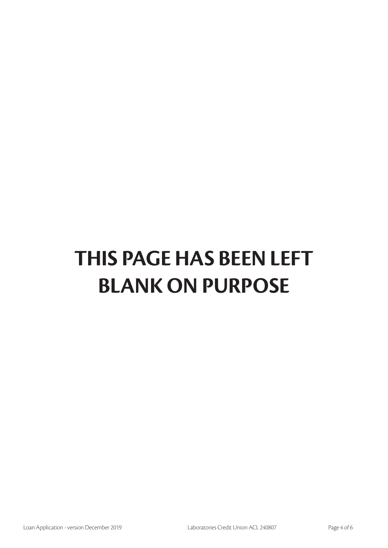# **THIS PAGE HAS BEEN LEFT BLANK ON PURPOSE**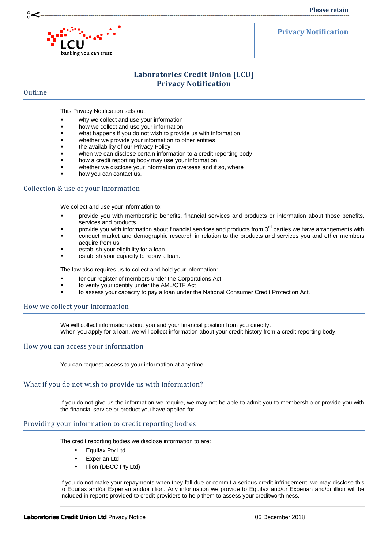

#### **Privacy Notification**

### **Laboratories Credit Union [LCU] Privacy Notification**

#### **Outline**

This Privacy Notification sets out:

- why we collect and use your information
- how we collect and use your information
- what happens if you do not wish to provide us with information
- whether we provide your information to other entities
- the availability of our Privacy Policy
- when we can disclose certain information to a credit reporting body
- how a credit reporting body may use your information
- whether we disclose your information overseas and if so, where
- how you can contact us.

#### Collection & use of your information

We collect and use your information to:

- provide you with membership benefits, financial services and products or information about those benefits, services and products
- provide you with information about financial services and products from 3<sup>rd</sup> parties we have arrangements with conduct market and demographic research in relation to the products and services you and other members
- acquire from us
- establish your eligibility for a loan
- establish your capacity to repay a loan.

The law also requires us to collect and hold your information:

- for our register of members under the Corporations Act
- to verify your identity under the AML/CTF Act
- to assess your capacity to pay a loan under the National Consumer Credit Protection Act.

#### How we collect your information

We will collect information about you and your financial position from you directly. When you apply for a loan, we will collect information about your credit history from a credit reporting body.

#### How you can access your information

You can request access to your information at any time.

#### What if you do not wish to provide us with information?

If you do not give us the information we require, we may not be able to admit you to membership or provide you with the financial service or product you have applied for.

#### Providing your information to credit reporting bodies

The credit reporting bodies we disclose information to are:

- Equifax Pty Ltd
- Experian Ltd
- Illion (DBCC Pty Ltd)

If you do not make your repayments when they fall due or commit a serious credit infringement, we may disclose this to Equifax and/or Experian and/or illion. Any information we provide to Equifax and/or Experian and/or illion will be included in reports provided to credit providers to help them to assess your creditworthiness.